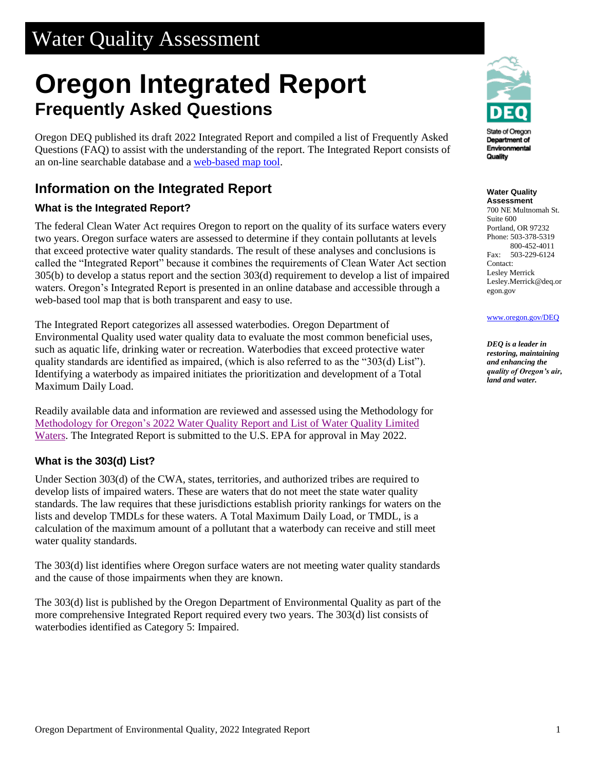# Water Quality Assessment

# **Oregon Integrated Report Frequently Asked Questions**

Oregon DEQ published its draft 2022 Integrated Report and compiled a list of Frequently Asked Questions (FAQ) to assist with the understanding of the report. The Integrated Report consists of an on-line searchable database and a [web-based map tool.](https://geo.maps.arcgis.com/apps/webappviewer/index.html?id=e8af23efa28b44f39355008e8e9c784b)

# **Information on the Integrated Report**

#### **What is the Integrated Report?**

The federal Clean Water Act requires Oregon to report on the quality of its surface waters every two years. Oregon surface waters are assessed to determine if they contain pollutants at levels that exceed protective water quality standards. The result of these analyses and conclusions is called the "Integrated Report" because it combines the requirements of Clean Water Act section 305(b) to develop a status report and the section 303(d) requirement to develop a list of impaired waters. Oregon's Integrated Report is presented in an online database and accessible through a web-based tool map that is both transparent and easy to use.

The Integrated Report categorizes all assessed waterbodies. Oregon Department of Environmental Quality used water quality data to evaluate the most common beneficial uses, such as aquatic life, drinking water or recreation. Waterbodies that exceed protective water quality standards are identified as impaired, (which is also referred to as the "303(d) List"). Identifying a waterbody as impaired initiates the prioritization and development of a Total Maximum Daily Load.

Readily available data and information are reviewed and assessed using the Methodology for Methodology for Oregon's 2022 [Water Quality Report and List of Water Quality Limited](https://www.oregon.gov/deq/wq/Documents/IR22AssessMethod.pdf)  [Waters.](https://www.oregon.gov/deq/wq/Documents/IR22AssessMethod.pdf) The Integrated Report is submitted to the U.S. EPA for approval in May 2022.

#### **What is the 303(d) List?**

Under Section 303(d) of the CWA, states, territories, and authorized tribes are required to develop lists of impaired waters. These are waters that do not meet the state water quality standards. The law requires that these jurisdictions establish priority rankings for waters on the lists and develop TMDLs for these waters. A Total Maximum Daily Load, or TMDL, is a calculation of the maximum amount of a pollutant that a waterbody can receive and still meet water quality standards.

The 303(d) list identifies where Oregon surface waters are not meeting water quality standards and the cause of those impairments when they are known.

The 303(d) list is published by the Oregon Department of Environmental Quality as part of the more comprehensive Integrated Report required every two years. The 303(d) list consists of waterbodies identified as Category 5: Impaired.



State of Oregon Department of Environmental Quality

**Water Quality Assessment**

700 NE Multnomah St. Suite 600 Portland, OR 97232 Phone: 503-378-5319 800-452-4011 Fax: 503-229-6124 Contact: Lesley Merrick Lesley.Merrick@deq.or egon.gov

#### [www.oregon.gov/DEQ](file://///deq000/Templates/General/www.oregon.gov/DEQ)

*DEQ is a leader in restoring, maintaining and enhancing the quality of Oregon's air, land and water.*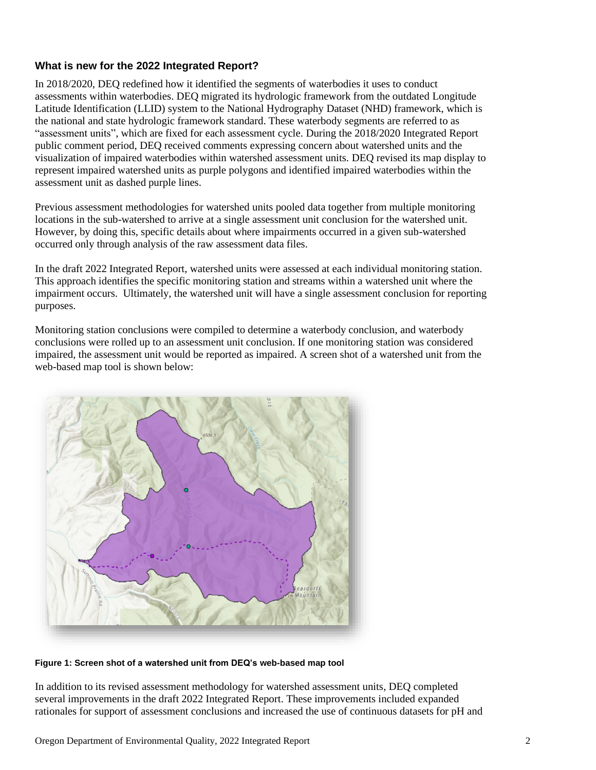#### **What is new for the 2022 Integrated Report?**

In 2018/2020, DEQ redefined how it identified the segments of waterbodies it uses to conduct assessments within waterbodies. DEQ migrated its hydrologic framework from the outdated Longitude Latitude Identification (LLID) system to the National Hydrography Dataset (NHD) framework, which is the national and state hydrologic framework standard. These waterbody segments are referred to as "assessment units", which are fixed for each assessment cycle. During the 2018/2020 Integrated Report public comment period, DEQ received comments expressing concern about watershed units and the visualization of impaired waterbodies within watershed assessment units. DEQ revised its map display to represent impaired watershed units as purple polygons and identified impaired waterbodies within the assessment unit as dashed purple lines.

Previous assessment methodologies for watershed units pooled data together from multiple monitoring locations in the sub-watershed to arrive at a single assessment unit conclusion for the watershed unit. However, by doing this, specific details about where impairments occurred in a given sub-watershed occurred only through analysis of the raw assessment data files.

In the draft 2022 Integrated Report, watershed units were assessed at each individual monitoring station. This approach identifies the specific monitoring station and streams within a watershed unit where the impairment occurs. Ultimately, the watershed unit will have a single assessment conclusion for reporting purposes.

Monitoring station conclusions were compiled to determine a waterbody conclusion, and waterbody conclusions were rolled up to an assessment unit conclusion. If one monitoring station was considered impaired, the assessment unit would be reported as impaired. A screen shot of a watershed unit from the web-based map tool is shown below:



**Figure 1: Screen shot of a watershed unit from DEQ's web-based map tool**

In addition to its revised assessment methodology for watershed assessment units, DEQ completed several improvements in the draft 2022 Integrated Report. These improvements included expanded rationales for support of assessment conclusions and increased the use of continuous datasets for pH and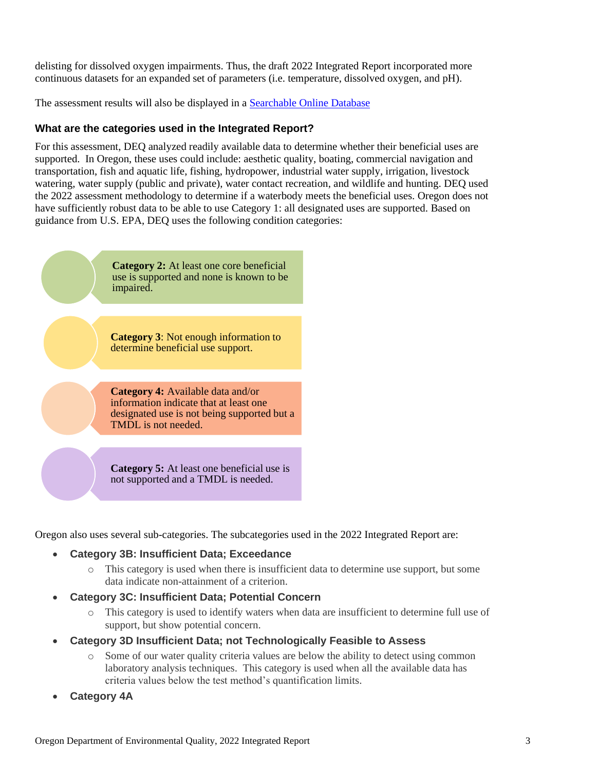delisting for dissolved oxygen impairments. Thus, the draft 2022 Integrated Report incorporated more continuous datasets for an expanded set of parameters (i.e. temperature, dissolved oxygen, and pH).

The assessment results will also be displayed in a [Searchable Online Database](https://rstudioconnect.deq.state.or.us/content/0a964958-6ad4-49a4-aca0-54a644b96357/)

#### **What are the categories used in the Integrated Report?**

For this assessment, DEQ analyzed readily available data to determine whether their beneficial uses are supported. In Oregon, these uses could include: aesthetic quality, boating, commercial navigation and transportation, fish and aquatic life, fishing, hydropower, industrial water supply, irrigation, livestock watering, water supply (public and private), water contact recreation, and wildlife and hunting. DEQ used the 2022 assessment methodology to determine if a waterbody meets the beneficial uses. Oregon does not have sufficiently robust data to be able to use Category 1: all designated uses are supported. Based on guidance from U.S. EPA, DEQ uses the following condition categories:



Oregon also uses several sub-categories. The subcategories used in the 2022 Integrated Report are:

#### • **Category 3B: Insufficient Data; Exceedance**

- o This category is used when there is insufficient data to determine use support, but some data indicate non-attainment of a criterion.
- **Category 3C: Insufficient Data; Potential Concern**
	- o This category is used to identify waters when data are insufficient to determine full use of support, but show potential concern.
- **Category 3D Insufficient Data; not Technologically Feasible to Assess**
	- o Some of our water quality criteria values are below the ability to detect using common laboratory analysis techniques. This category is used when all the available data has criteria values below the test method's quantification limits.
- **Category 4A**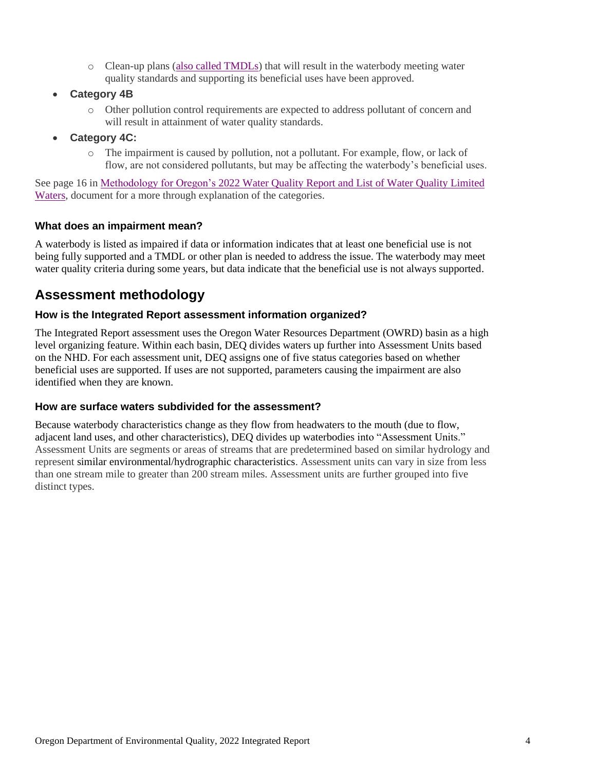- o Clean-up plans [\(also called TMDLs\)](https://www.oregon.gov/deq/wq/tmdls/Pages/default.aspx) that will result in the waterbody meeting water quality standards and supporting its beneficial uses have been approved.
- **Category 4B**
	- o Other pollution control requirements are expected to address pollutant of concern and will result in attainment of water quality standards.
- **Category 4C:**
	- o The impairment is caused by pollution, not a pollutant. For example, flow, or lack of flow, are not considered pollutants, but may be affecting the waterbody's beneficial uses.

See page 16 in Methodology for Oregon's 2022 [Water Quality Report and List of Water Quality Limited](https://www.oregon.gov/deq/wq/Documents/IR22AssessMethod.pdf)  [Waters,](https://www.oregon.gov/deq/wq/Documents/IR22AssessMethod.pdf) document for a more through explanation of the categories.

#### **What does an impairment mean?**

A waterbody is listed as impaired if data or information indicates that at least one beneficial use is not being fully supported and a TMDL or other plan is needed to address the issue. The waterbody may meet water quality criteria during some years, but data indicate that the beneficial use is not always supported.

### **Assessment methodology**

#### **How is the Integrated Report assessment information organized?**

The Integrated Report assessment uses the Oregon Water Resources Department (OWRD) basin as a high level organizing feature. Within each basin, DEQ divides waters up further into Assessment Units based on the NHD. For each assessment unit, DEQ assigns one of five status categories based on whether beneficial uses are supported. If uses are not supported, parameters causing the impairment are also identified when they are known.

#### **How are surface waters subdivided for the assessment?**

Because waterbody characteristics change as they flow from headwaters to the mouth (due to flow, adjacent land uses, and other characteristics), DEQ divides up waterbodies into "Assessment Units." Assessment Units are segments or areas of streams that are predetermined based on similar hydrology and represent similar environmental/hydrographic characteristics. Assessment units can vary in size from less than one stream mile to greater than 200 stream miles. Assessment units are further grouped into five distinct types.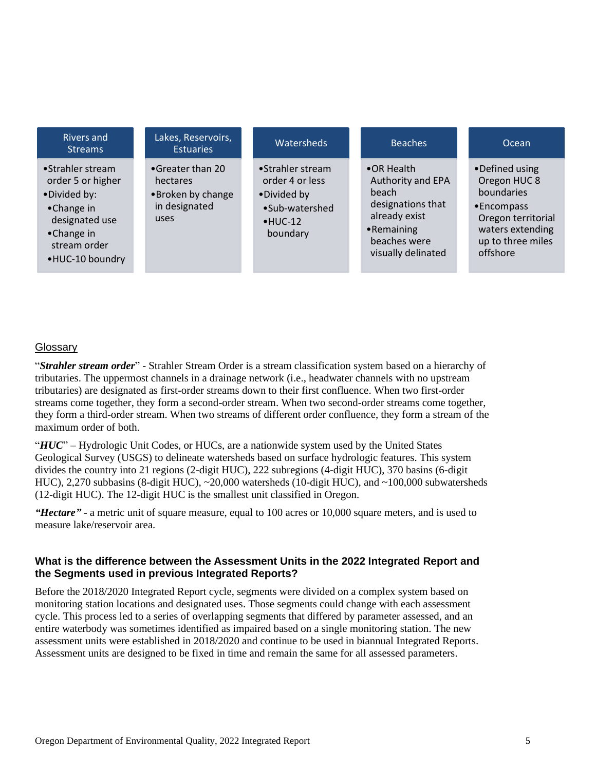| • Strahler stream<br>•Greater than 20<br>•Strahler stream<br>•OR Health<br>•Defined using<br>order 5 or higher<br>order 4 or less<br>Oregon HUC 8<br>Authority and EPA<br>hectares<br>boundaries<br><b>beach</b><br>•Broken by change<br>•Divided by:<br>•Divided by<br>designations that  |                    |
|--------------------------------------------------------------------------------------------------------------------------------------------------------------------------------------------------------------------------------------------------------------------------------------------|--------------------|
| in designated<br>•Encompass<br>•Sub-watershed<br>•Change in<br>already exist<br>uses<br>designated use<br>$·$ HUC-12<br>waters extending<br>•Remaining<br>•Change in<br>boundary<br>up to three miles<br>beaches were<br>stream order<br>offshore<br>visually delinated<br>•HUC-10 boundry | Oregon territorial |

#### **Glossary**

"*Strahler stream order*" - Strahler Stream Order is a stream classification system based on a hierarchy of tributaries. The uppermost channels in a drainage network (i.e., headwater channels with no upstream tributaries) are designated as first-order streams down to their first confluence. When two first-order streams come together, they form a second-order stream. When two second-order streams come together, they form a third-order stream. When two streams of different order confluence, they form a stream of the maximum order of both.

"*HUC*" – Hydrologic Unit Codes, or HUCs, are a nationwide system used by the United States Geological Survey (USGS) to delineate watersheds based on surface hydrologic features. This system divides the country into 21 regions (2-digit HUC), 222 subregions (4-digit HUC), 370 basins (6-digit HUC), 2,270 subbasins (8-digit HUC), ~20,000 watersheds (10-digit HUC), and ~100,000 subwatersheds (12-digit HUC). The 12-digit HUC is the smallest unit classified in Oregon.

*"Hectare"* - a metric unit of square measure, equal to 100 acres or 10,000 square meters, and is used to measure lake/reservoir area.

#### **What is the difference between the Assessment Units in the 2022 Integrated Report and the Segments used in previous Integrated Reports?**

Before the 2018/2020 Integrated Report cycle, segments were divided on a complex system based on monitoring station locations and designated uses. Those segments could change with each assessment cycle. This process led to a series of overlapping segments that differed by parameter assessed, and an entire waterbody was sometimes identified as impaired based on a single monitoring station. The new assessment units were established in 2018/2020 and continue to be used in biannual Integrated Reports. Assessment units are designed to be fixed in time and remain the same for all assessed parameters.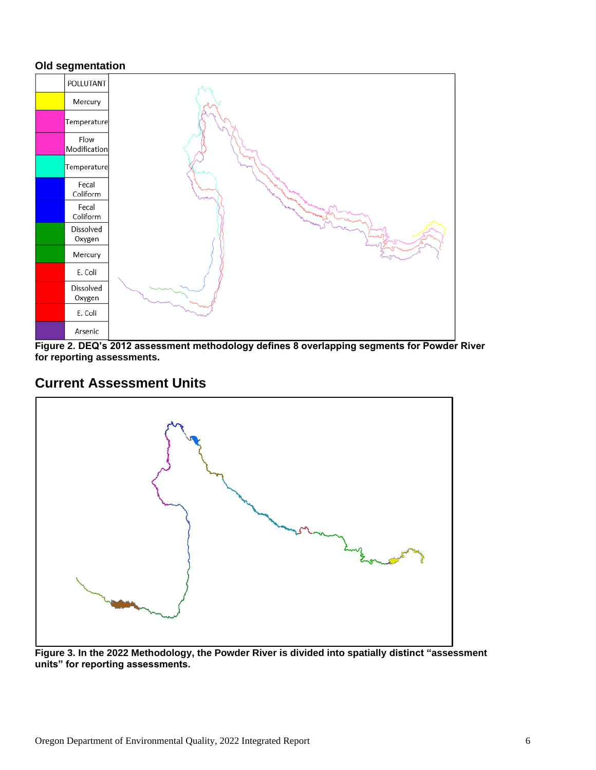#### **Old segmentation**



**Figure 2. DEQ's 2012 assessment methodology defines 8 overlapping segments for Powder River for reporting assessments.**

### **Current Assessment Units**



**Figure 3. In the 2022 Methodology, the Powder River is divided into spatially distinct "assessment units" for reporting assessments.**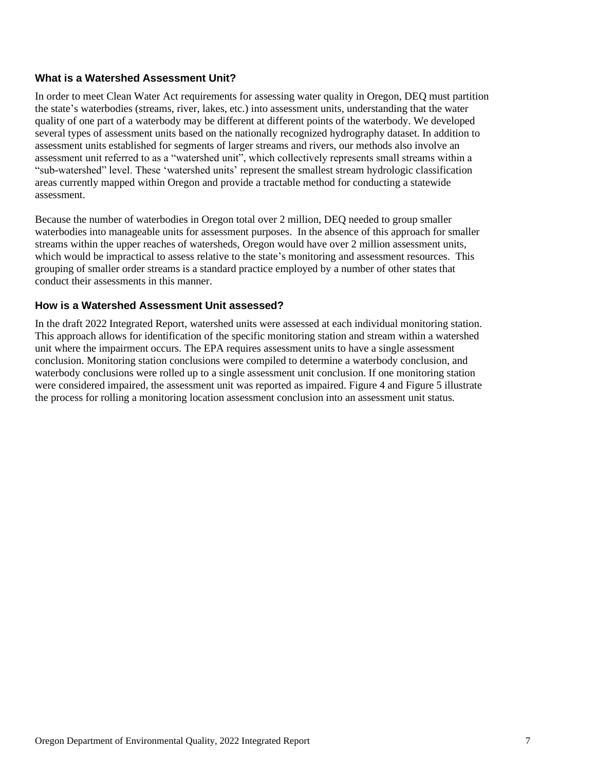#### **What is a Watershed Assessment Unit?**

In order to meet Clean Water Act requirements for assessing water quality in Oregon, DEQ must partition the state's waterbodies (streams, river, lakes, etc.) into assessment units, understanding that the water quality of one part of a waterbody may be different at different points of the waterbody. We developed several types of assessment units based on the nationally recognized hydrography dataset. In addition to assessment units established for segments of larger streams and rivers, our methods also involve an assessment unit referred to as a "watershed unit", which collectively represents small streams within a "sub-watershed" level. These 'watershed units' represent the smallest stream hydrologic classification areas currently mapped within Oregon and provide a tractable method for conducting a statewide assessment.

Because the number of waterbodies in Oregon total over 2 million, DEQ needed to group smaller waterbodies into manageable units for assessment purposes. In the absence of this approach for smaller streams within the upper reaches of watersheds, Oregon would have over 2 million assessment units, which would be impractical to assess relative to the state's monitoring and assessment resources. This grouping of smaller order streams is a standard practice employed by a number of other states that conduct their assessments in this manner.

#### **How is a Watershed Assessment Unit assessed?**

In the draft 2022 Integrated Report, watershed units were assessed at each individual monitoring station. This approach allows for identification of the specific monitoring station and stream within a watershed unit where the impairment occurs. The EPA requires assessment units to have a single assessment conclusion. Monitoring station conclusions were compiled to determine a waterbody conclusion, and waterbody conclusions were rolled up to a single assessment unit conclusion. If one monitoring station were considered impaired, the assessment unit was reported as impaired. Figure 4 and Figure 5 illustrate the process for rolling a monitoring location assessment conclusion into an assessment unit status.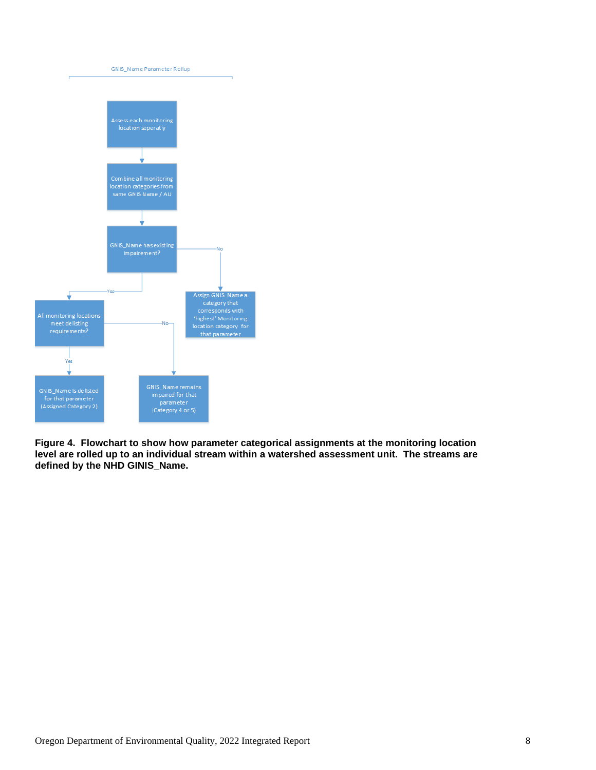

**Figure 4. Flowchart to show how parameter categorical assignments at the monitoring location level are rolled up to an individual stream within a watershed assessment unit. The streams are defined by the NHD GINIS\_Name.**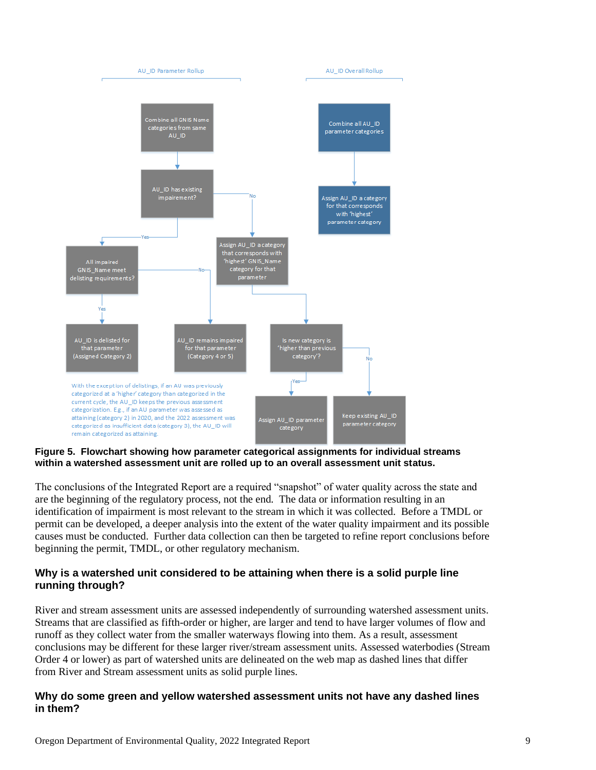

**Figure 5. Flowchart showing how parameter categorical assignments for individual streams within a watershed assessment unit are rolled up to an overall assessment unit status.**

The conclusions of the Integrated Report are a required "snapshot" of water quality across the state and are the beginning of the regulatory process, not the end. The data or information resulting in an identification of impairment is most relevant to the stream in which it was collected. Before a TMDL or permit can be developed, a deeper analysis into the extent of the water quality impairment and its possible causes must be conducted. Further data collection can then be targeted to refine report conclusions before beginning the permit, TMDL, or other regulatory mechanism.

#### **Why is a watershed unit considered to be attaining when there is a solid purple line running through?**

River and stream assessment units are assessed independently of surrounding watershed assessment units. Streams that are classified as fifth-order or higher, are larger and tend to have larger volumes of flow and runoff as they collect water from the smaller waterways flowing into them. As a result, assessment conclusions may be different for these larger river/stream assessment units. Assessed waterbodies (Stream Order 4 or lower) as part of watershed units are delineated on the web map as dashed lines that differ from River and Stream assessment units as solid purple lines.

#### **Why do some green and yellow watershed assessment units not have any dashed lines in them?**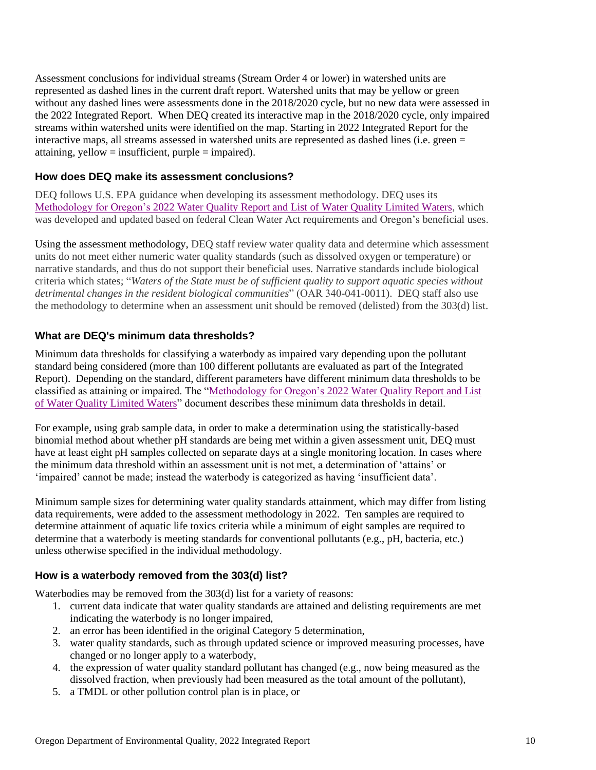Assessment conclusions for individual streams (Stream Order 4 or lower) in watershed units are represented as dashed lines in the current draft report. Watershed units that may be yellow or green without any dashed lines were assessments done in the 2018/2020 cycle, but no new data were assessed in the 2022 Integrated Report. When DEQ created its interactive map in the 2018/2020 cycle, only impaired streams within watershed units were identified on the map. Starting in 2022 Integrated Report for the interactive maps, all streams assessed in watershed units are represented as dashed lines (i.e. green = attaining, yellow = insufficient, purple = impaired).

#### **How does DEQ make its assessment conclusions?**

DEQ follows U.S. EPA guidance when developing its assessment methodology. DEQ uses its Methodology for Oregon's 2022 [Water Quality Report and List of Water Quality Limited Waters,](https://www.oregon.gov/deq/wq/Documents/IR22AssessMethod.pdf) which was developed and updated based on federal Clean Water Act requirements and Oregon's beneficial uses.

Using the [assessment methodology,](https://www.oregon.gov/deq/wq/Documents/IR22AssessMethod.pdf) DEQ staff review water quality data and determine which assessment units do not meet either numeric water quality standards (such as dissolved oxygen or temperature) or narrative standards, and thus do not support their beneficial uses. Narrative standards include biological criteria which states; "*Waters of the State must be of sufficient quality to support aquatic species without detrimental changes in the resident biological communities*" (OAR 340-041-0011). DEQ staff also use the methodology to determine when an assessment unit should be removed (delisted) from the 303(d) list.

#### **What are DEQ's minimum data thresholds?**

Minimum data thresholds for classifying a waterbody as impaired vary depending upon the pollutant standard being considered (more than 100 different pollutants are evaluated as part of the Integrated Report). Depending on the standard, different parameters have different minimum data thresholds to be classified as attaining or impaired. The ["Methodology for Oregon's 2022](https://www.oregon.gov/deq/wq/Documents/IR22AssessMethod.pdf) Water Quality Report and List [of Water Quality Limited Waters"](https://www.oregon.gov/deq/wq/Documents/IR22AssessMethod.pdf) document describes these minimum data thresholds in detail.

For example, using grab sample data, in order to make a determination using the statistically-based binomial method about whether pH standards are being met within a given assessment unit, DEQ must have at least eight pH samples collected on separate days at a single monitoring location. In cases where the minimum data threshold within an assessment unit is not met, a determination of 'attains' or 'impaired' cannot be made; instead the waterbody is categorized as having 'insufficient data'.

Minimum sample sizes for determining water quality standards attainment, which may differ from listing data requirements, were added to the assessment methodology in 2022. Ten samples are required to determine attainment of aquatic life toxics criteria while a minimum of eight samples are required to determine that a waterbody is meeting standards for conventional pollutants (e.g., pH, bacteria, etc.) unless otherwise specified in the individual methodology.

#### **How is a waterbody removed from the 303(d) list?**

Waterbodies may be removed from the 303(d) list for a variety of reasons:

- 1. current data indicate that water quality standards are attained and delisting requirements are met indicating the waterbody is no longer impaired,
- 2. an error has been identified in the original Category 5 determination,
- 3. water quality standards, such as through updated science or improved measuring processes, have changed or no longer apply to a waterbody,
- 4. the expression of water quality standard pollutant has changed (e.g., now being measured as the dissolved fraction, when previously had been measured as the total amount of the pollutant),
- 5. a TMDL or other pollution control plan is in place, or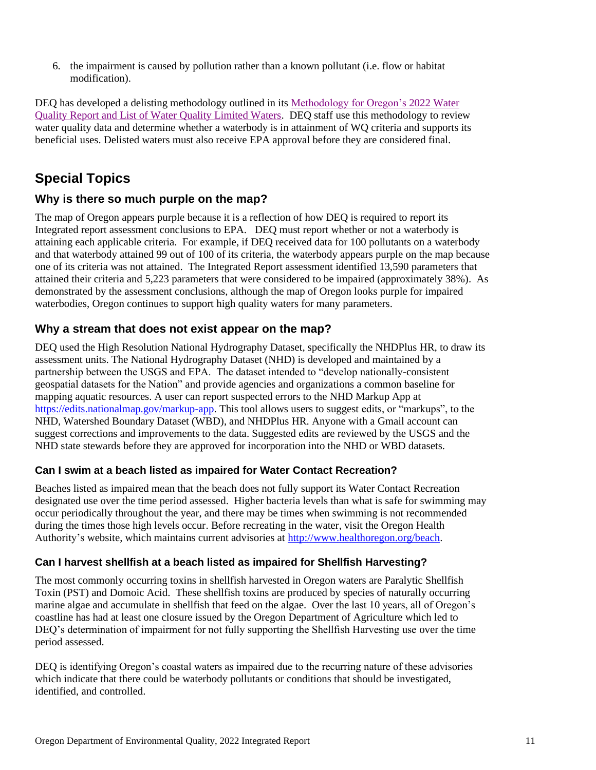6. the impairment is caused by pollution rather than a known pollutant (i.e. flow or habitat modification).

DEQ has developed a delisting methodology outlined in its [Methodology for Oregon's 2022](https://www.oregon.gov/deq/wq/Documents/IR22AssessMethod.pdf) Water [Quality Report and List of Water Quality Limited Waters.](https://www.oregon.gov/deq/wq/Documents/IR22AssessMethod.pdf) DEQ staff use this methodology to review water quality data and determine whether a waterbody is in attainment of WQ criteria and supports its beneficial uses. Delisted waters must also receive EPA approval before they are considered final.

# **Special Topics**

#### **Why is there so much purple on the map?**

The map of Oregon appears purple because it is a reflection of how DEQ is required to report its Integrated report assessment conclusions to EPA. DEQ must report whether or not a waterbody is attaining each applicable criteria. For example, if DEQ received data for 100 pollutants on a waterbody and that waterbody attained 99 out of 100 of its criteria, the waterbody appears purple on the map because one of its criteria was not attained. The Integrated Report assessment identified 13,590 parameters that attained their criteria and 5,223 parameters that were considered to be impaired (approximately 38%). As demonstrated by the assessment conclusions, although the map of Oregon looks purple for impaired waterbodies, Oregon continues to support high quality waters for many parameters.

#### **Why a stream that does not exist appear on the map?**

DEQ used the High Resolution National Hydrography Dataset, specifically the NHDPlus HR, to draw its assessment units. The National Hydrography Dataset (NHD) is developed and maintained by a partnership between the USGS and EPA. The dataset intended to "develop nationally-consistent geospatial datasets for the Nation" and provide agencies and organizations a common baseline for mapping aquatic resources. A user can report suspected errors to the NHD Markup App at [https://edits.nationalmap.gov/markup-app.](https://edits.nationalmap.gov/markup-app) This tool allows users to suggest edits, or "markups", to the NHD, Watershed Boundary Dataset (WBD), and NHDPlus HR. Anyone with a Gmail account can suggest corrections and improvements to the data. Suggested edits are reviewed by the USGS and the NHD state stewards before they are approved for incorporation into the NHD or WBD datasets.

#### **Can I swim at a beach listed as impaired for Water Contact Recreation?**

Beaches listed as impaired mean that the beach does not fully support its Water Contact Recreation designated use over the time period assessed. Higher bacteria levels than what is safe for swimming may occur periodically throughout the year, and there may be times when swimming is not recommended during the times those high levels occur. Before recreating in the water, visit the Oregon Health Authority's website, which maintains current advisories at [http://www.healthoregon.org/beach.](http://www.healthoregon.org/beach)

#### **Can I harvest shellfish at a beach listed as impaired for Shellfish Harvesting?**

The most commonly occurring toxins in shellfish harvested in Oregon waters are Paralytic Shellfish Toxin (PST) and Domoic Acid. These shellfish toxins are produced by species of naturally occurring marine algae and accumulate in shellfish that feed on the algae. Over the last 10 years, all of Oregon's coastline has had at least one closure issued by the Oregon Department of Agriculture which led to DEQ's determination of impairment for not fully supporting the Shellfish Harvesting use over the time period assessed.

DEQ is identifying Oregon's coastal waters as impaired due to the recurring nature of these advisories which indicate that there could be waterbody pollutants or conditions that should be investigated, identified, and controlled.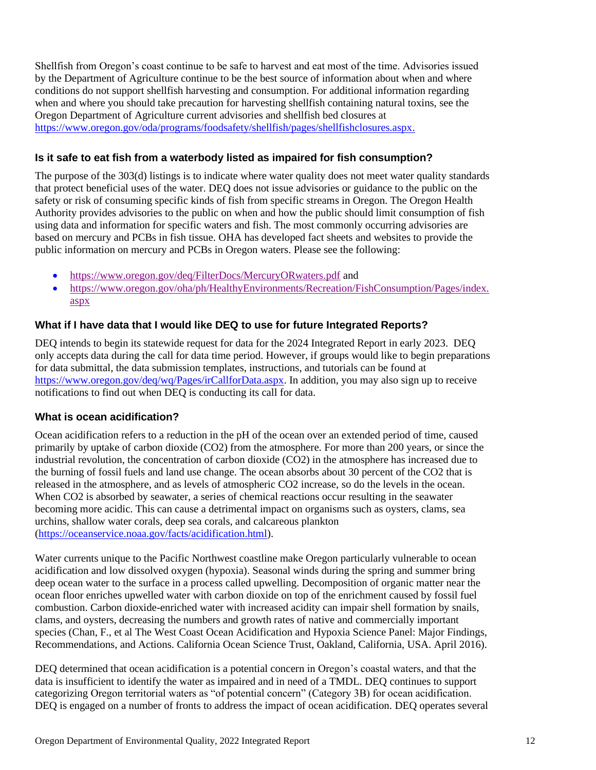Shellfish from Oregon's coast continue to be safe to harvest and eat most of the time. Advisories issued by the Department of Agriculture continue to be the best source of information about when and where conditions do not support shellfish harvesting and consumption. For additional information regarding when and where you should take precaution for harvesting shellfish containing natural toxins, see the Oregon Department of Agriculture current advisories and shellfish bed closures at [https://www.oregon.gov/oda/programs/foodsafety/shellfish/pages/shellfishclosures.aspx.](https://www.oregon.gov/oda/programs/foodsafety/shellfish/pages/shellfishclosures.aspx)

#### **Is it safe to eat fish from a waterbody listed as impaired for fish consumption?**

The purpose of the 303(d) listings is to indicate where water quality does not meet water quality standards that protect beneficial uses of the water. DEQ does not issue advisories or guidance to the public on the safety or risk of consuming specific kinds of fish from specific streams in Oregon. The Oregon Health Authority provides advisories to the public on when and how the public should limit consumption of fish using data and information for specific waters and fish. The most commonly occurring advisories are based on mercury and PCBs in fish tissue. OHA has developed fact sheets and websites to provide the public information on mercury and PCBs in Oregon waters. Please see the following:

- <https://www.oregon.gov/deq/FilterDocs/MercuryORwaters.pdf> and
- [https://www.oregon.gov/oha/ph/HealthyEnvironments/Recreation/FishConsumption/Pages/index.](https://www.oregon.gov/oha/ph/HealthyEnvironments/Recreation/FishConsumption/Pages/index.aspx) [aspx](https://www.oregon.gov/oha/ph/HealthyEnvironments/Recreation/FishConsumption/Pages/index.aspx)

#### **What if I have data that I would like DEQ to use for future Integrated Reports?**

DEQ intends to begin its statewide request for data for the 2024 Integrated Report in early 2023. DEQ only accepts data during the call for data time period. However, if groups would like to begin preparations for data submittal, the data submission templates, instructions, and tutorials can be found at [https://www.oregon.gov/deq/wq/Pages/irCallforData.aspx.](https://www.oregon.gov/deq/wq/Pages/irCallforData.aspx) In addition, you may also sign up to receive notifications to find out when DEQ is conducting its call for data.

#### **What is ocean acidification?**

Ocean acidification refers to a reduction in the pH of the ocean over an extended period of time, caused primarily by uptake of carbon dioxide (CO2) from the atmosphere. For more than 200 years, or since the industrial revolution, the concentration of carbon dioxide (CO2) in the atmosphere has increased due to the burning of fossil fuels and land use change. The ocean absorbs about 30 percent of the CO2 that is released in the atmosphere, and as levels of atmospheric CO2 increase, so do the levels in the ocean. When CO2 is absorbed by seawater, a series of chemical reactions occur resulting in the seawater becoming more acidic. This can cause a detrimental impact on organisms such as oysters, clams, sea urchins, shallow water corals, deep sea corals, and calcareous plankton [\(https://oceanservice.noaa.gov/facts/acidification.html\)](https://oceanservice.noaa.gov/facts/acidification.html).

Water currents unique to the Pacific Northwest coastline make Oregon particularly vulnerable to ocean acidification and low dissolved oxygen (hypoxia). Seasonal winds during the spring and summer bring deep ocean water to the surface in a process called upwelling. Decomposition of organic matter near the ocean floor enriches upwelled water with carbon dioxide on top of the enrichment caused by fossil fuel combustion. Carbon dioxide-enriched water with increased acidity can impair shell formation by snails, clams, and oysters, decreasing the numbers and growth rates of native and commercially important species (Chan, F., et al The West Coast Ocean Acidification and Hypoxia Science Panel: Major Findings, Recommendations, and Actions. California Ocean Science Trust, Oakland, California, USA. April 2016).

DEQ determined that ocean acidification is a potential concern in Oregon's coastal waters, and that the data is insufficient to identify the water as impaired and in need of a TMDL. DEQ continues to support categorizing Oregon territorial waters as "of potential concern" (Category 3B) for ocean acidification. DEQ is engaged on a number of fronts to address the impact of ocean acidification. DEQ operates several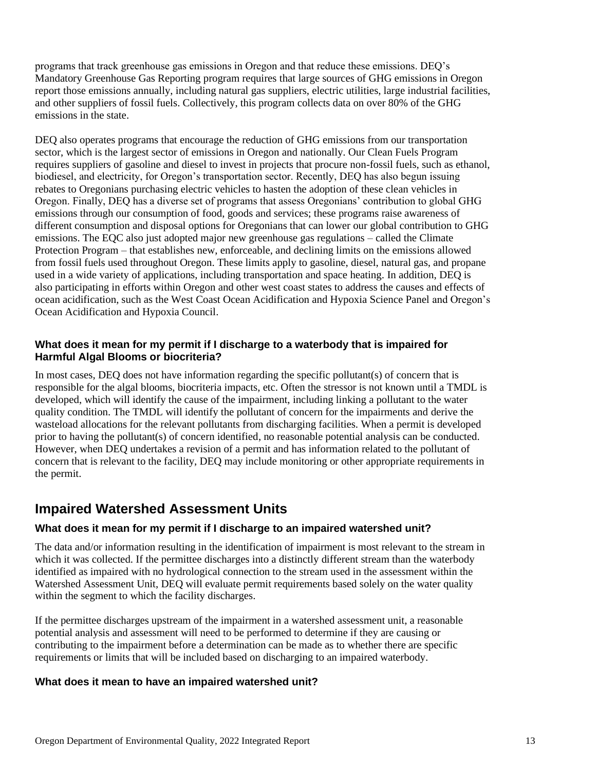programs that track greenhouse gas emissions in Oregon and that reduce these emissions. DEQ's Mandatory Greenhouse Gas Reporting program requires that large sources of GHG emissions in Oregon report those emissions annually, including natural gas suppliers, electric utilities, large industrial facilities, and other suppliers of fossil fuels. Collectively, this program collects data on over 80% of the GHG emissions in the state.

DEQ also operates programs that encourage the reduction of GHG emissions from our transportation sector, which is the largest sector of emissions in Oregon and nationally. Our Clean Fuels Program requires suppliers of gasoline and diesel to invest in projects that procure non-fossil fuels, such as ethanol, biodiesel, and electricity, for Oregon's transportation sector. Recently, DEQ has also begun issuing rebates to Oregonians purchasing electric vehicles to hasten the adoption of these clean vehicles in Oregon. Finally, DEQ has a diverse set of programs that assess Oregonians' contribution to global GHG emissions through our consumption of food, goods and services; these programs raise awareness of different consumption and disposal options for Oregonians that can lower our global contribution to GHG emissions. The EQC also just adopted major new greenhouse gas regulations – called the Climate Protection Program – that establishes new, enforceable, and declining limits on the emissions allowed from fossil fuels used throughout Oregon. These limits apply to gasoline, diesel, natural gas, and propane used in a wide variety of applications, including transportation and space heating. In addition, DEQ is also participating in efforts within Oregon and other west coast states to address the causes and effects of ocean acidification, such as the West Coast Ocean Acidification and Hypoxia Science Panel and Oregon's Ocean Acidification and Hypoxia Council.

#### **What does it mean for my permit if I discharge to a waterbody that is impaired for Harmful Algal Blooms or biocriteria?**

In most cases, DEQ does not have information regarding the specific pollutant(s) of concern that is responsible for the algal blooms, biocriteria impacts, etc. Often the stressor is not known until a TMDL is developed, which will identify the cause of the impairment, including linking a pollutant to the water quality condition. The TMDL will identify the pollutant of concern for the impairments and derive the wasteload allocations for the relevant pollutants from discharging facilities. When a permit is developed prior to having the pollutant(s) of concern identified, no reasonable potential analysis can be conducted. However, when DEQ undertakes a revision of a permit and has information related to the pollutant of concern that is relevant to the facility, DEQ may include monitoring or other appropriate requirements in the permit.

# **Impaired Watershed Assessment Units**

#### **What does it mean for my permit if I discharge to an impaired watershed unit?**

The data and/or information resulting in the identification of impairment is most relevant to the stream in which it was collected. If the permittee discharges into a distinctly different stream than the waterbody identified as impaired with no hydrological connection to the stream used in the assessment within the Watershed Assessment Unit, DEQ will evaluate permit requirements based solely on the water quality within the segment to which the facility discharges.

If the permittee discharges upstream of the impairment in a watershed assessment unit, a reasonable potential analysis and assessment will need to be performed to determine if they are causing or contributing to the impairment before a determination can be made as to whether there are specific requirements or limits that will be included based on discharging to an impaired waterbody.

#### **What does it mean to have an impaired watershed unit?**